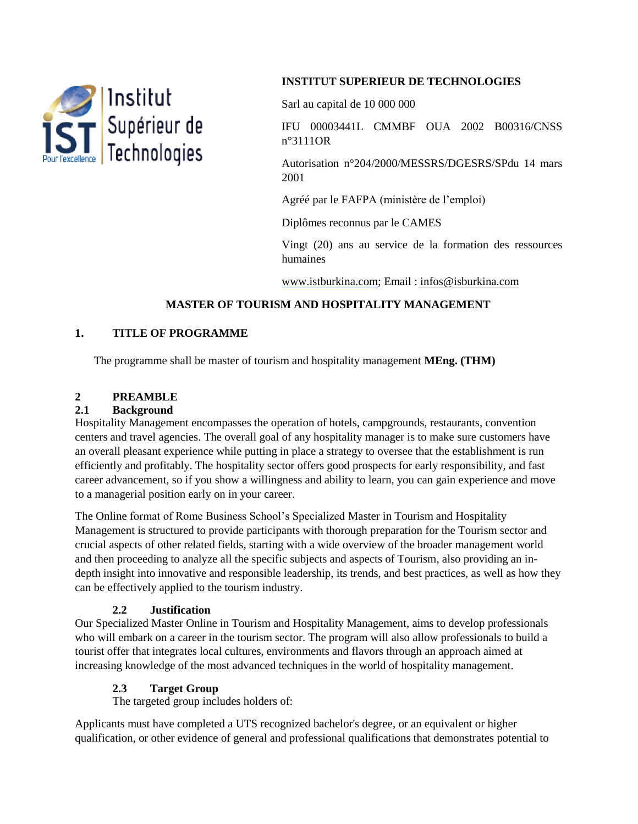

## **INSTITUT SUPERIEUR DE TECHNOLOGIES**

Sarl au capital de 10 000 000

IFU 00003441L CMMBF OUA 2002 B00316/CNSS n°3111OR

Autorisation n°204/2000/MESSRS/DGESRS/SPdu 14 mars 2001

Agréé par le FAFPA (ministère de l'emploi)

Diplômes reconnus par le CAMES

Vingt (20) ans au service de la formation des ressources humaines

www.istburkina.com; Email : [infos@isburkina.com](mailto:infos@isburkina.com)

# **MASTER OF TOURISM AND HOSPITALITY MANAGEMENT**

### **1. TITLE OF PROGRAMME**

The programme shall be master of tourism and hospitality management **MEng. (THM)**

# **2 PREAMBLE**

#### **2.1 Background**

Hospitality Management encompasses the operation of hotels, campgrounds, restaurants, convention centers and travel agencies. The overall goal of any hospitality manager is to make sure customers have an overall pleasant experience while putting in place a strategy to oversee that the establishment is run efficiently and profitably. The hospitality sector offers good prospects for early responsibility, and fast career advancement, so if you show a willingness and ability to learn, you can gain experience and move to a managerial position early on in your career.

The Online format of Rome Business School's Specialized Master in Tourism and Hospitality Management is structured to provide participants with thorough preparation for the Tourism sector and crucial aspects of other related fields, starting with a wide overview of the broader management world and then proceeding to analyze all the specific subjects and aspects of Tourism, also providing an indepth insight into innovative and responsible leadership, its trends, and best practices, as well as how they can be effectively applied to the tourism industry.

### **2.2 Justification**

Our Specialized Master Online in Tourism and Hospitality Management, aims to develop professionals who will embark on a career in the tourism sector. The program will also allow professionals to build a tourist offer that integrates local cultures, environments and flavors through an approach aimed at increasing knowledge of the most advanced techniques in the world of hospitality management.

### **2.3 Target Group**

The targeted group includes holders of:

Applicants must have completed a UTS recognized bachelor's degree, or an equivalent or higher qualification, or other evidence of general and professional qualifications that demonstrates potential to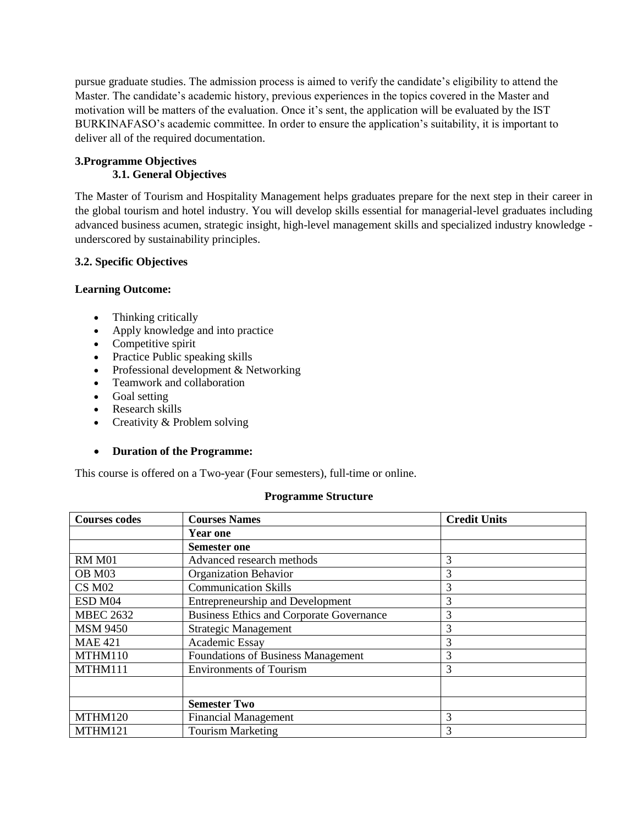pursue graduate studies. The admission process is aimed to verify the candidate's eligibility to attend the Master. The candidate's academic history, previous experiences in the topics covered in the Master and motivation will be matters of the evaluation. Once it's sent, the application will be evaluated by the IST BURKINAFASO's academic committee. In order to ensure the application's suitability, it is important to deliver all of the required documentation.

### **3.Programme Objectives 3.1. General Objectives**

The Master of Tourism and Hospitality Management helps graduates prepare for the next step in their career in the global tourism and hotel industry. You will develop skills essential for managerial-level graduates including advanced business acumen, strategic insight, high-level management skills and specialized industry knowledge underscored by sustainability principles.

### **3.2. Specific Objectives**

#### **Learning Outcome:**

- Thinking critically
- Apply knowledge and into practice
- Competitive spirit
- Practice Public speaking skills
- Professional development & Networking
- Teamwork and collaboration
- Goal setting
- Research skills
- Creativity & Problem solving

#### **Duration of the Programme:**

This course is offered on a Two-year (Four semesters), full-time or online.

#### **Programme Structure**

| <b>Courses codes</b> | <b>Courses Names</b>                            | <b>Credit Units</b> |
|----------------------|-------------------------------------------------|---------------------|
|                      | <b>Year one</b>                                 |                     |
|                      | <b>Semester one</b>                             |                     |
| <b>RM M01</b>        | Advanced research methods                       | 3                   |
| OB M03               | <b>Organization Behavior</b>                    | 3                   |
| CS M <sub>02</sub>   | <b>Communication Skills</b>                     | 3                   |
| ESD M04              | <b>Entrepreneurship and Development</b>         | 3                   |
| <b>MBEC 2632</b>     | <b>Business Ethics and Corporate Governance</b> | 3                   |
| <b>MSM 9450</b>      | <b>Strategic Management</b>                     | 3                   |
| <b>MAE 421</b>       | Academic Essay                                  | 3                   |
| MTHM110              | Foundations of Business Management              | 3                   |
| MTHM111              | <b>Environments of Tourism</b>                  | 3                   |
|                      |                                                 |                     |
|                      | <b>Semester Two</b>                             |                     |
| MTHM120              | <b>Financial Management</b>                     | 3                   |
| MTHM121              | <b>Tourism Marketing</b>                        | 3                   |